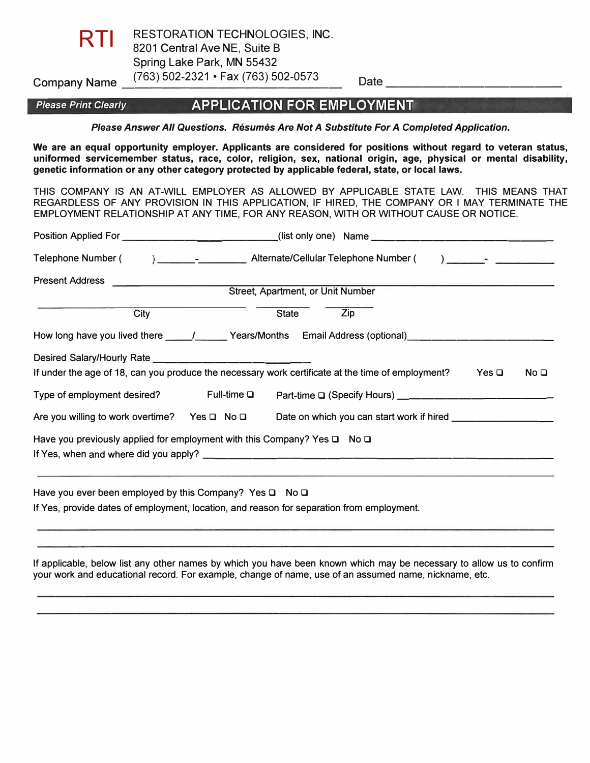

Company Name \_\_<sup>(763)</sup> 502-2321 • Fax (763) 502-0573 Date \_\_\_\_\_\_\_\_\_\_\_\_\_\_\_\_\_\_\_\_\_\_ RESTORATION TECHNOLOGIES, INC. 8201 Central Ave NE, Suite B Spring Lake Park, MN 55432

## *Please Print Clearly* **APPLICATION FOR EMPLOYMENT**

*Please Answer All Questions. Resumes Are Not A Substitute For A Completed Application.* 

**We are an equal opportunity employer. Applicants are considered for positions without regard to veteran status, uniformed servicemember status, race, color, religion, sex, national origin, age, physical or mental disability, genetic information or any other category protected by applicable federal, state, or local laws.** 

THIS COMPANY IS AN AT-WILL EMPLOYER AS ALLOWED BY APPLICABLE STATE LAW. THIS MEANS THAT REGARDLESS OF ANY PROVISION IN THIS APPLICATION, IF HIRED, THE COMPANY OR I MAY TERMINATE THE EMPLOYMENT RELATIONSHIP AT ANY TIME, FOR ANY REASON, WITH OR WITHOUT CAUSE OR NOTICE.

| Telephone Number (                              | ) and the set of the set of the set of $\mathcal{L}_1$                                                                             |  |  |  |
|-------------------------------------------------|------------------------------------------------------------------------------------------------------------------------------------|--|--|--|
| <b>Present Address</b>                          | <u> 1980 - Jan Bernard Bernard III.</u><br>Street, Apartment, or Unit Number                                                       |  |  |  |
|                                                 |                                                                                                                                    |  |  |  |
| City                                            | <b>State</b><br>Zip                                                                                                                |  |  |  |
|                                                 | How long have you lived there ______/_______Years/Months Email Address (optional)_________________________                         |  |  |  |
|                                                 |                                                                                                                                    |  |  |  |
|                                                 | If under the age of 18, can you produce the necessary work certificate at the time of employment?<br>Yes $\Box$<br>No <sub>Q</sub> |  |  |  |
| Type of employment desired? Full-time $\square$ | Part-time □ (Specify Hours) __________________________                                                                             |  |  |  |
| Are you willing to work overtime? Yes □ No □    | Date on which you can start work if hired _________________                                                                        |  |  |  |
|                                                 | Have you previously applied for employment with this Company? Yes $\square$ No $\square$                                           |  |  |  |
|                                                 |                                                                                                                                    |  |  |  |
|                                                 |                                                                                                                                    |  |  |  |
|                                                 | Have you ever been employed by this Company? Yes $\square$ No $\square$                                                            |  |  |  |

If Yes, provide dates of employment, location, and reason for separation from employment.

If applicable, below list any other names by which you have been known which may be necessary to allow us to confirm your work and educational record. For example, change of name, use of an assumed name, nickname, etc.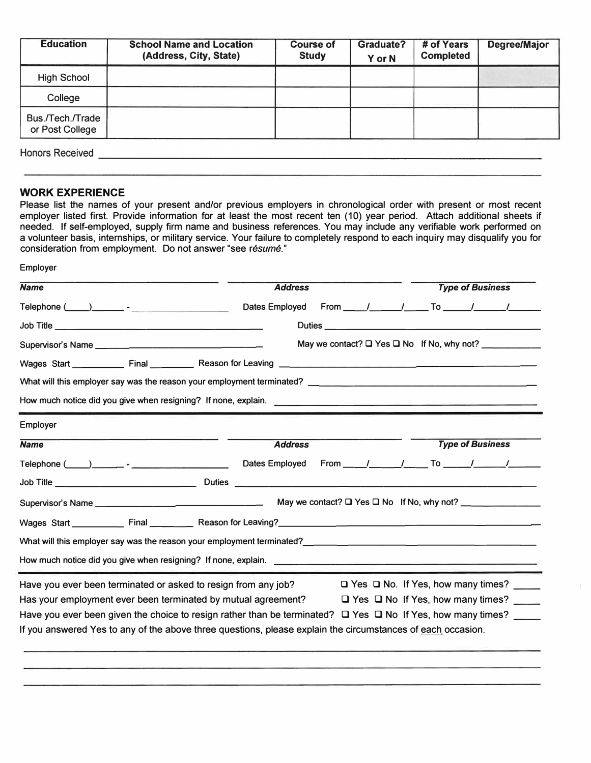| <b>Education</b>                    | <b>School Name and Location</b><br>(Address, City, State) | <b>Course of</b><br><b>Study</b> | <b>Graduate?</b><br>Y or N | # of Years<br><b>Completed</b> | Degree/Major |
|-------------------------------------|-----------------------------------------------------------|----------------------------------|----------------------------|--------------------------------|--------------|
| <b>High School</b>                  |                                                           |                                  |                            |                                |              |
| College                             |                                                           |                                  |                            |                                |              |
| Bus./Tech./Trade<br>or Post College |                                                           |                                  |                            |                                |              |
| <b>Honors Received</b>              |                                                           |                                  |                            |                                |              |

Employer

#### **WORK EXPERIENCE**

Please list the names of your present and/or previous employers in chronological order with present or most recent employer listed first. Provide information for at least the most recent ten (10) year period. Attach additional sheets if needed. If self-employed, supply firm name and business references. You may include any verifiable work performed on a volunteer basis, internships, or military service. Your failure to completely respond to each inquiry may disqualify you for consideration from employment. Do not answer "see *resume."*

| <b>Name</b>                                                                                                            | <b>Address</b> |  | <b>Type of Business</b>                       |  |
|------------------------------------------------------------------------------------------------------------------------|----------------|--|-----------------------------------------------|--|
| Telephone $(\_\_\_\_\_\_\_\_\_\$                                                                                       | Dates Employed |  |                                               |  |
|                                                                                                                        |                |  |                                               |  |
|                                                                                                                        |                |  |                                               |  |
|                                                                                                                        |                |  |                                               |  |
|                                                                                                                        |                |  |                                               |  |
| How much notice did you give when resigning? If none, explain.                                                         |                |  |                                               |  |
| Employer                                                                                                               |                |  |                                               |  |
| <b>Name</b>                                                                                                            | <b>Address</b> |  | <b>Type of Business</b>                       |  |
|                                                                                                                        |                |  |                                               |  |
| Job Title _________________________________Duties _______________________________                                      |                |  |                                               |  |
|                                                                                                                        |                |  |                                               |  |
|                                                                                                                        |                |  |                                               |  |
|                                                                                                                        |                |  |                                               |  |
| How much notice did you give when resigning? If none, explain. <u>The subsequence is a controllered</u> and the set of |                |  |                                               |  |
| Have you ever been terminated or asked to resign from any job?                                                         |                |  | $\Box$ Yes $\Box$ No. If Yes, how many times? |  |
| Has your employment ever been terminated by mutual agreement? $\Box$ Yes $\Box$ No If Yes, how many times?             |                |  |                                               |  |
| Have you ever been given the choice to resign rather than be terminated? $\Box$ Yes $\Box$ No If Yes, how many times?  |                |  |                                               |  |
| If you answered Yes to any of the above three questions, please explain the circumstances of each occasion.            |                |  |                                               |  |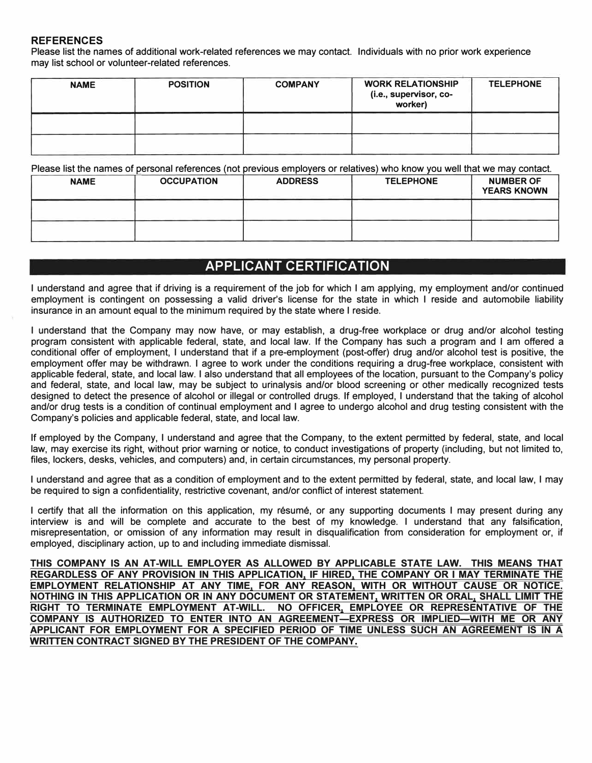### **REFERENCES**

Please list the names of additional work-related references we may contact. Individuals with no prior work experience may list school or volunteer-related references.

| <b>NAME</b> | <b>POSITION</b> | <b>COMPANY</b> | <b>WORK RELATIONSHIP</b><br>(i.e., supervisor, co-<br>worker) | <b>TELEPHONE</b> |
|-------------|-----------------|----------------|---------------------------------------------------------------|------------------|
|             |                 |                |                                                               |                  |
|             |                 |                |                                                               |                  |

Please list the names of personal references (not previous employers or relatives) who know you well that we may contact.

| <b>NAME</b> | <b>OCCUPATION</b> | <b>ADDRESS</b> | <b>TELEPHONE</b> | <b>NUMBER OF</b><br><b>YEARS KNOWN</b> |
|-------------|-------------------|----------------|------------------|----------------------------------------|
|             |                   |                |                  |                                        |
|             |                   |                |                  |                                        |

# **APPLICANT CERTIFICATION**

I understand and agree that if driving is a requirement of the job for which I am applying, my employment and/or continued employment is contingent on possessing a valid driver's license for the state in which I reside and automobile liability insurance in an amount equal to the minimum required by the state where I reside.

I understand that the Company may now have, or may establish, a drug-free workplace or drug and/or alcohol testing program consistent with applicable federal, state, and local law. If the Company has such a program and I am offered a conditional offer of employment, I understand that if a pre-employment (post-offer) drug and/or alcohol test is positive, the employment offer may be withdrawn. I agree to work under the conditions requiring a drug-free workplace, consistent with applicable federal, state, and local law. I also understand that all employees of the location, pursuant to the Company's policy and federal, state, and local law, may be subject to urinalysis and/or blood screening or other medically recognized tests designed to detect the presence of alcohol or illegal or controlled drugs. If employed, I understand that the taking of alcohol and/or drug tests is a condition of continual employment and I agree to undergo alcohol and drug testing consistent with the Company's policies and applicable federal, state, and local law.

If employed by the Company, I understand and agree that the Company, to the extent permitted by federal, state, and local law, may exercise its right, without prior warning or notice, to conduct investigations of property (including, but not limited to, files, lockers, desks, vehicles, and computers) and, in certain circumstances, my personal property.

I understand and agree that as a condition of employment and to the extent permitted by federal, state, and local law, I may be required to sign a confidentiality, restrictive covenant, and/or conflict of interest statement.

I certify that all the information on this application, my resume, or any supporting documents I may present during any interview is and will be complete and accurate to the best of my knowledge. I understand that any falsification, misrepresentation, or omission of any information may result in disqualification from consideration for employment or, if employed, disciplinary action, up to and including immediate dismissal.

**THIS COMPANY IS AN AT-WILL EMPLOYER AS ALLOWED BY APPLICABLE STATE LAW. THIS MEANS THAT REGARDLESS OF ANY PROVISION IN THIS APPLICATION, IF HIRED, THE COMPANY OR I MAY TERMINATE THE EMPLOYMENT RELATIONSHIP AT ANY TIME, FOR ANY REASON, WITH OR WITHOUT CAUSE OR NOTICE. NOTHING IN THIS APPLICATION OR IN ANY DOCUMENT OR STATEMENT, WRITTEN OR ORAL, SHALL LIMIT THE RIGHT TO TERMINATE EMPLOYMENT AT-WILL. NO OFFICER, EMPLOYEE OR REPRESENTATIVE OF THE COMPANY IS AUTHORIZED TO ENTER INTO AN AGREEMENT-EXPRESS OR IMPLIED-WITH ME OR ANY APPLICANT FOR EMPLOYMENT FOR A SPECIFIED PERIOD OF TIME UNLESS SUCH AN AGREEMENT IS IN A WRITTEN CONTRACT SIGNED BY THE PRESIDENT OF THE COMPANY.**